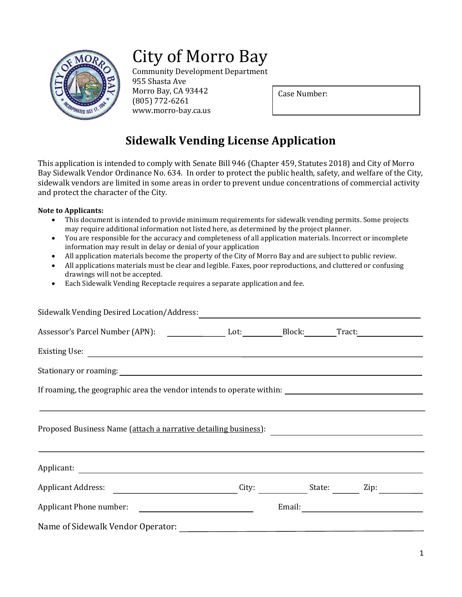

# City of Morro Bay

Community Development Department

955 Shasta Ave Morro Bay, CA 93442 (805) 772-6261 www.morro-bay.ca.us

Case Number:

## **Sidewalk Vending License Application**

This application is intended to comply with Senate Bill 946 (Chapter 459, Statutes 2018) and City of Morro Bay Sidewalk Vendor Ordinance No. 634. In order to protect the public health, safety, and welfare of the City, sidewalk vendors are limited in some areas in order to prevent undue concentrations of commercial activity and protect the character of the City.

#### **Note to Applicants:**

- This document is intended to provide minimum requirements for sidewalk vending permits. Some projects may require additional information not listed here, as determined by the project planner.
- You are responsible for the accuracy and completeness of all application materials. Incorrect or incomplete information may result in delay or denial of your application
- All application materials become the property of the City of Morro Bay and are subject to public review.
- All applications materials must be clear and legible. Faxes, poor reproductions, and cluttered or confusing drawings will not be accepted.
- Each Sidewalk Vending Receptacle requires a separate application and fee.

| Sidewalk Vending Desired Location/Address:                                                                                                      |              |      |  |
|-------------------------------------------------------------------------------------------------------------------------------------------------|--------------|------|--|
| Assessor's Parcel Number (APN): Lot: Block: Tract: Tract: Tract:                                                                                |              |      |  |
|                                                                                                                                                 |              |      |  |
|                                                                                                                                                 |              |      |  |
| If roaming, the geographic area the vendor intends to operate within:                                                                           |              |      |  |
|                                                                                                                                                 |              |      |  |
|                                                                                                                                                 |              |      |  |
|                                                                                                                                                 |              |      |  |
| Applicant Address:                                                                                                                              | City: State: | Zip: |  |
| Applicant Phone number:<br><u> 1980 - Andrea State Barbara, amerikan personal di sebagai personal di sebagai personal di sebagai personal d</u> |              |      |  |
|                                                                                                                                                 |              |      |  |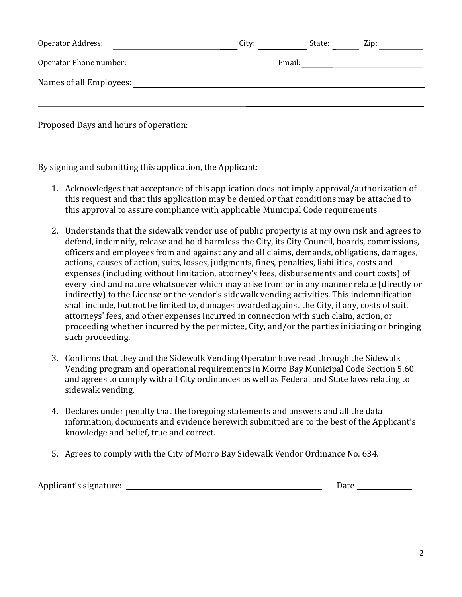| <b>Operator Address:</b> | City: |        | State: | Zip: |  |
|--------------------------|-------|--------|--------|------|--|
| Operator Phone number:   |       | Email: |        |      |  |
| Names of all Employees:  |       |        |        |      |  |
|                          |       |        |        |      |  |
|                          |       |        |        |      |  |
|                          |       |        |        |      |  |

By signing and submitting this application, the Applicant:

- 1. Acknowledges that acceptance of this application does not imply approval/authorization of this request and that this application may be denied or that conditions may be attached to this approval to assure compliance with applicable Municipal Code requirements
- 2. Understands that the sidewalk vendor use of public property is at my own risk and agrees to defend, indemnify, release and hold harmless the City, its City Council, boards, commissions, officers and employees from and against any and all claims, demands, obligations, damages, actions, causes of action, suits, losses, judgments, fines, penalties, liabilities, costs and expenses (including without limitation, attorney's fees, disbursements and court costs) of every kind and nature whatsoever which may arise from or in any manner relate (directly or indirectly) to the License or the vendor's sidewalk vending activities. This indemnification shall include, but not be limited to, damages awarded against the City, if any, costs of suit, attorneys' fees, and other expenses incurred in connection with such claim, action, or proceeding whether incurred by the permittee, City, and/or the parties initiating or bringing such proceeding.
- 3. Confirms that they and the Sidewalk Vending Operator have read through the Sidewalk Vending program and operational requirements in Morro Bay Municipal Code Section 5.60 and agrees to comply with all City ordinances as well as Federal and State laws relating to sidewalk vending.
- 4. Declares under penalty that the foregoing statements and answers and all the data information, documents and evidence herewith submitted are to the best of the Applicant's knowledge and belief, true and correct.
- 5. Agrees to comply with the City of Morro Bay Sidewalk Vendor Ordinance No. 634.

| Applicant's signature: |      |
|------------------------|------|
|                        | Date |
|                        |      |
|                        |      |